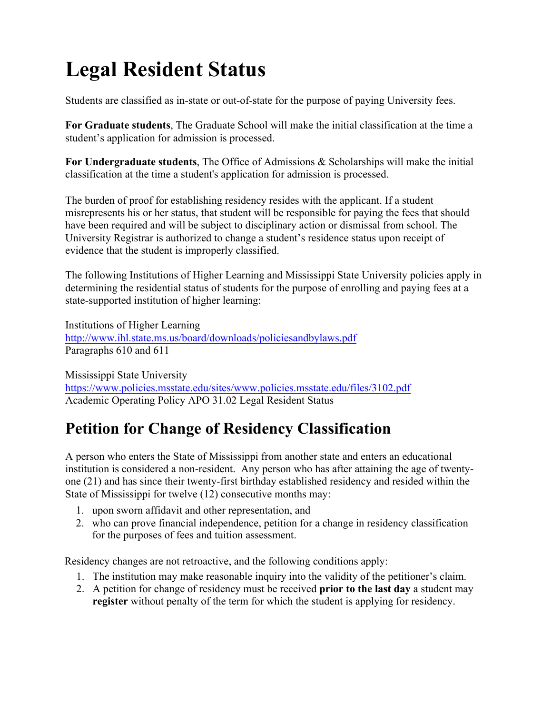# **Legal Resident Status**

Students are classified as in-state or out-of-state for the purpose of paying University fees.

**For Graduate students**, The Graduate School will make the initial classification at the time a student's application for admission is processed.

**For Undergraduate students**, The Office of Admissions & Scholarships will make the initial classification at the time a student's application for admission is processed.

The burden of proof for establishing residency resides with the applicant. If a student misrepresents his or her status, that student will be responsible for paying the fees that should have been required and will be subject to disciplinary action or dismissal from school. The University Registrar is authorized to change a student's residence status upon receipt of evidence that the student is improperly classified.

The following Institutions of Higher Learning and Mississippi State University policies apply in determining the residential status of students for the purpose of enrolling and paying fees at a state-supported institution of higher learning:

Institutions of Higher Learning http://www.ihl.state.ms.us/board/downloads/policiesandbylaws.pdf Paragraphs 610 and 611

Mississippi State University https://www.policies.msstate.edu/sites/www.policies.msstate.edu/files/3102.pdf Academic Operating Policy APO 31.02 Legal Resident Status

## **Petition for Change of Residency Classification**

A person who enters the State of Mississippi from another state and enters an educational institution is considered a non-resident. Any person who has after attaining the age of twentyone (21) and has since their twenty-first birthday established residency and resided within the State of Mississippi for twelve (12) consecutive months may:

- 1. upon sworn affidavit and other representation, and
- 2. who can prove financial independence, petition for a change in residency classification for the purposes of fees and tuition assessment.

Residency changes are not retroactive, and the following conditions apply:

- 1. The institution may make reasonable inquiry into the validity of the petitioner's claim.
- 2. A petition for change of residency must be received **prior to the last day** a student may **register** without penalty of the term for which the student is applying for residency.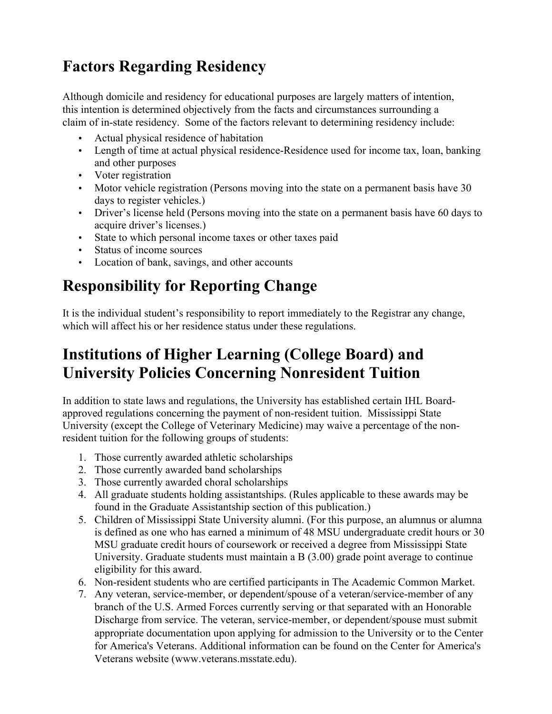## **Factors Regarding Residency**

Although domicile and residency for educational purposes are largely matters of intention, this intention is determined objectively from the facts and circumstances surrounding a claim of in-state residency. Some of the factors relevant to determining residency include:

- Actual physical residence of habitation
- Length of time at actual physical residence-Residence used for income tax, loan, banking and other purposes
- Voter registration
- Motor vehicle registration (Persons moving into the state on a permanent basis have 30 days to register vehicles.)
- Driver's license held (Persons moving into the state on a permanent basis have 60 days to acquire driver's licenses.)
- State to which personal income taxes or other taxes paid
- Status of income sources
- Location of bank, savings, and other accounts

## **Responsibility for Reporting Change**

It is the individual student's responsibility to report immediately to the Registrar any change, which will affect his or her residence status under these regulations.

## **Institutions of Higher Learning (College Board) and University Policies Concerning Nonresident Tuition**

In addition to state laws and regulations, the University has established certain IHL Boardapproved regulations concerning the payment of non-resident tuition. Mississippi State University (except the College of Veterinary Medicine) may waive a percentage of the nonresident tuition for the following groups of students:

- 1. Those currently awarded athletic scholarships
- 2. Those currently awarded band scholarships
- 3. Those currently awarded choral scholarships
- 4. All graduate students holding assistantships. (Rules applicable to these awards may be found in the Graduate Assistantship section of this publication.)
- 5. Children of Mississippi State University alumni. (For this purpose, an alumnus or alumna is defined as one who has earned a minimum of 48 MSU undergraduate credit hours or 30 MSU graduate credit hours of coursework or received a degree from Mississippi State University. Graduate students must maintain a B (3.00) grade point average to continue eligibility for this award.
- 6. Non-resident students who are certified participants in The Academic Common Market.
- 7. Any veteran, service-member, or dependent/spouse of a veteran/service-member of any branch of the U.S. Armed Forces currently serving or that separated with an Honorable Discharge from service. The veteran, service-member, or dependent/spouse must submit appropriate documentation upon applying for admission to the University or to the Center for America's Veterans. Additional information can be found on the Center for America's Veterans website (www.veterans.msstate.edu).